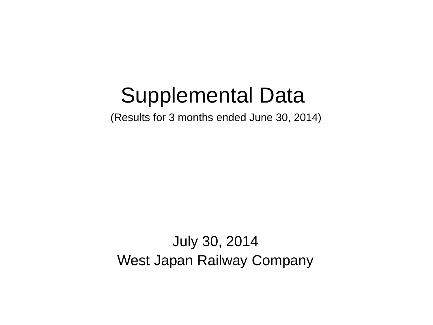# Supplemental Data

(Results for 3 months ended June 30, 2014)

July 30, 2014 West Japan Railway Company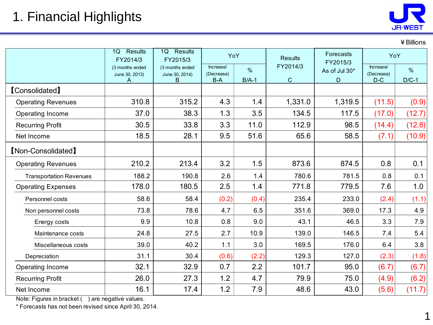¥Billions

1

|                                | Results<br>1Q<br>FY2014/3              | Results<br>1Q<br>FY2015/3              | YoY                            |              | <b>Results</b>          | Forecasts<br>FY2015/3 | YoY                              |              |
|--------------------------------|----------------------------------------|----------------------------------------|--------------------------------|--------------|-------------------------|-----------------------|----------------------------------|--------------|
|                                | (3 months ended<br>June 30, 2013)<br>A | (3 months ended<br>June 30, 2014)<br>B | Increase/<br>(Decrease)<br>B-A | %<br>$B/A-1$ | FY2014/3<br>$\mathbf C$ | As of Jul 30*<br>D    | Increase/<br>(Decrease)<br>$D-C$ | %<br>$D/C-1$ |
| <b>[Consolidated]</b>          |                                        |                                        |                                |              |                         |                       |                                  |              |
| <b>Operating Revenues</b>      | 310.8                                  | 315.2                                  | 4.3                            | 1.4          | 1,331.0                 | 1,319.5               | (11.5)                           | (0.9)        |
| Operating Income               | 37.0                                   | 38.3                                   | 1.3                            | 3.5          | 134.5                   | 117.5                 | (17.0)                           | (12.7)       |
| <b>Recurring Profit</b>        | 30.5                                   | 33.8                                   | 3.3                            | 11.0         | 112.9                   | 98.5                  | (14.4)                           | (12.8)       |
| Net Income                     | 18.5                                   | 28.1                                   | 9.5                            | 51.6         | 65.6                    | 58.5                  | (7.1)                            | (10.9)       |
| [Non-Consolidated]             |                                        |                                        |                                |              |                         |                       |                                  |              |
| <b>Operating Revenues</b>      | 210.2                                  | 213.4                                  | 3.2                            | 1.5          | 873.6                   | 874.5                 | 0.8                              | 0.1          |
| <b>Transportation Revenues</b> | 188.2                                  | 190.8                                  | 2.6                            | 1.4          | 780.6                   | 781.5                 | 0.8                              | 0.1          |
| <b>Operating Expenses</b>      | 178.0                                  | 180.5                                  | 2.5                            | 1.4          | 771.8                   | 779.5                 | 7.6                              | 1.0          |
| Personnel costs                | 58.6                                   | 58.4                                   | (0.2)                          | (0.4)        | 235.4                   | 233.0                 | (2.4)                            | (1.1)        |
| Non personnel costs            | 73.8                                   | 78.6                                   | 4.7                            | 6.5          | 351.6                   | 369.0                 | 17.3                             | 4.9          |
| Energy costs                   | 9.9                                    | 10.8                                   | 0.8                            | 9.0          | 43.1                    | 46.5                  | 3.3                              | 7.9          |
| Maintenance costs              | 24.8                                   | 27.5                                   | 2.7                            | 10.9         | 139.0                   | 146.5                 | 7.4                              | 5.4          |
| Miscellaneous costs            | 39.0                                   | 40.2                                   | 1.1                            | 3.0          | 169.5                   | 176.0                 | 6.4                              | 3.8          |
| Depreciation                   | 31.1                                   | 30.4                                   | (0.6)                          | (2.2)        | 129.3                   | 127.0                 | (2.3)                            | (1.8)        |
| Operating Income               | 32.1                                   | 32.9                                   | 0.7                            | 2.2          | 101.7                   | 95.0                  | (6.7)                            | (6.7)        |
| <b>Recurring Profit</b>        | 26.0                                   | 27.3                                   | 1.2                            | 4.7          | 79.9                    | 75.0                  | (4.9)                            | (6.2)        |
| Net Income                     | 16.1                                   | 17.4                                   | 1.2                            | 7.9          | 48.6                    | 43.0                  | (5.6)                            | (11.7)       |

Note: Figures in bracket () are negative values.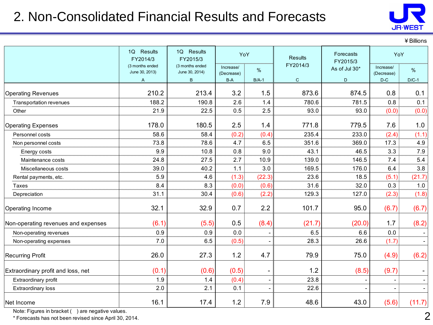## 2. Non-Consolidated Financial Results and Forecasts



¥Billions

|                                     | 1Q Results<br>FY2014/3            | 1Q Results<br>YoY<br>Forecasts<br><b>Results</b><br>FY2015/3<br>FY2015/3 |                         | YoY                      |              |               |                                                                                                                                                                                                                            |         |
|-------------------------------------|-----------------------------------|--------------------------------------------------------------------------|-------------------------|--------------------------|--------------|---------------|----------------------------------------------------------------------------------------------------------------------------------------------------------------------------------------------------------------------------|---------|
|                                     | (3 months ended<br>June 30, 2013) | (3 months ended<br>June 30, 2014)                                        | Increase/<br>(Decrease) | %                        | FY2014/3     | As of Jul 30* | Increase/<br>(Decrease)<br>$\mathsf{D}\text{-}\mathsf{C}$<br>0.8<br>0.8<br>(0.0)<br>7.6<br>(2.4)<br>17.3<br>3.3<br>7.4<br>6.4<br>(5.1)<br>0.3<br>(2.3)<br>(6.7)<br>1.7<br>0.0<br>(1.7)<br>(4.9)<br>(9.7)<br>$\overline{a}$ | %       |
|                                     | $\overline{A}$                    | B                                                                        | $B-A$                   | $B/A-1$                  | $\mathsf{C}$ | D             |                                                                                                                                                                                                                            | $D/C-1$ |
| <b>Operating Revenues</b>           | 210.2                             | 213.4                                                                    | 3.2                     | 1.5                      | 873.6        | 874.5         |                                                                                                                                                                                                                            | 0.1     |
| Transportation revenues             | 188.2                             | 190.8                                                                    | 2.6                     | 1.4                      | 780.6        | 781.5         |                                                                                                                                                                                                                            | 0.1     |
| Other                               | 21.9                              | 22.5                                                                     | 0.5                     | 2.5                      | 93.0         | 93.0          |                                                                                                                                                                                                                            | (0.0)   |
| <b>Operating Expenses</b>           | 178.0                             | 180.5                                                                    | 2.5                     | 1.4                      | 771.8        | 779.5         |                                                                                                                                                                                                                            | 1.0     |
| Personnel costs                     | 58.6                              | 58.4                                                                     | (0.2)                   | (0.4)                    | 235.4        | 233.0         |                                                                                                                                                                                                                            | (1.1)   |
| Non personnel costs                 | 73.8                              | 78.6                                                                     | 4.7                     | 6.5                      | 351.6        | 369.0         |                                                                                                                                                                                                                            | 4.9     |
| Energy costs                        | 9.9                               | 10.8                                                                     | 0.8                     | 9.0                      | 43.1         | 46.5          |                                                                                                                                                                                                                            | 7.9     |
| Maintenance costs                   | 24.8                              | 27.5                                                                     | 2.7                     | 10.9                     | 139.0        | 146.5         |                                                                                                                                                                                                                            | 5.4     |
| Miscellaneous costs                 | 39.0                              | 40.2                                                                     | 1.1                     | 3.0                      | 169.5        | 176.0         |                                                                                                                                                                                                                            | 3.8     |
| Rental payments, etc.               | 5.9                               | 4.6                                                                      | (1.3)                   | (22.3)                   | 23.6         | 18.5          |                                                                                                                                                                                                                            | (21.7)  |
| Taxes                               | 8.4                               | 8.3                                                                      | (0.0)                   | (0.6)                    | 31.6         | 32.0          |                                                                                                                                                                                                                            | 1.0     |
| Depreciation                        | 31.1                              | 30.4                                                                     | (0.6)                   | (2.2)                    | 129.3        | 127.0         |                                                                                                                                                                                                                            | (1.8)   |
| Operating Income                    | 32.1                              | 32.9                                                                     | 0.7                     | 2.2                      | 101.7        | 95.0          |                                                                                                                                                                                                                            | (6.7)   |
| Non-operating revenues and expenses | (6.1)                             | (5.5)                                                                    | 0.5                     | (8.4)                    | (21.7)       | (20.0)        |                                                                                                                                                                                                                            | (8.2)   |
| Non-operating revenues              | 0.9                               | 0.9                                                                      | 0.0                     |                          | 6.5          | 6.6           |                                                                                                                                                                                                                            |         |
| Non-operating expenses              | 7.0                               | 6.5                                                                      | (0.5)                   |                          | 28.3         | 26.6          |                                                                                                                                                                                                                            |         |
| <b>Recurring Profit</b>             | 26.0                              | 27.3                                                                     | 1.2                     | 4.7                      | 79.9         | 75.0          |                                                                                                                                                                                                                            | (6.2)   |
| Extraordinary profit and loss, net  | (0.1)                             | (0.6)                                                                    | (0.5)                   | $\overline{\phantom{a}}$ | 1.2          | (8.5)         |                                                                                                                                                                                                                            |         |
| Extraordinary profit                | 1.9                               | 1.4                                                                      | (0.4)                   | $\overline{\phantom{a}}$ | 23.8         |               |                                                                                                                                                                                                                            |         |
| <b>Extraordinary loss</b>           | 2.0                               | 2.1                                                                      | 0.1                     |                          | 22.6         |               |                                                                                                                                                                                                                            |         |
| Net Income                          | 16.1                              | 17.4                                                                     | 1.2                     | 7.9                      | 48.6         | 43.0          | (5.6)                                                                                                                                                                                                                      | (11.7)  |

Note: Figures in bracket () are negative values.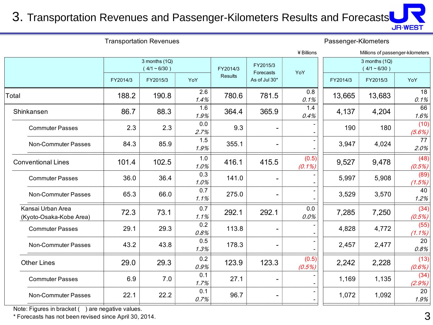#### 3. Transportation Revenues and Passenger-Kilometers Results and Forecasts

|                                              |                                 |          |             |                       |               |                                 |                      |                                  | <b>JR-WEST</b>    |
|----------------------------------------------|---------------------------------|----------|-------------|-----------------------|---------------|---------------------------------|----------------------|----------------------------------|-------------------|
| <b>Transportation Revenues</b>               |                                 |          |             |                       |               |                                 | Passenger-Kilometers |                                  |                   |
|                                              |                                 |          |             |                       |               | ¥ Billions                      |                      | Millions of passenger-kilometers |                   |
|                                              | 3 months (1Q)<br>$(4/1 - 6/30)$ |          | FY2014/3    | FY2015/3<br>Forecasts | YoY           | 3 months (1Q)<br>$(4/1 - 6/30)$ |                      |                                  |                   |
|                                              | FY2014/3                        | FY2015/3 | YoY         | <b>Results</b>        | As of Jul 30* |                                 | FY2014/3             | FY2015/3                         | YoY               |
| Total                                        | 188.2                           | 190.8    | 2.6<br>1.4% | 780.6                 | 781.5         | 0.8<br>0.1%                     | 13,665               | 13,683                           | 18<br>0.1%        |
| Shinkansen                                   | 86.7                            | 88.3     | 1.6<br>1.9% | 364.4                 | 365.9         | 1.4<br>0.4%                     | 4,137                | 4,204                            | 66<br>1.6%        |
| <b>Commuter Passes</b>                       | 2.3                             | 2.3      | 0.0<br>2.7% | 9.3                   |               |                                 | 190                  | 180                              | (10)<br>(5.6%)    |
| Non-Commuter Passes                          | 84.3                            | 85.9     | 1.5<br>1.9% | 355.1                 |               |                                 | 3,947                | 4,024                            | 77<br>2.0%        |
| <b>Conventional Lines</b>                    | 101.4                           | 102.5    | 1.0<br>1.0% | 416.1                 | 415.5         | (0.5)<br>$(0.1\%)$              | 9,527                | 9,478                            | (48)<br>(0.5%)    |
| <b>Commuter Passes</b>                       | 36.0                            | 36.4     | 0.3<br>1.0% | 141.0                 |               |                                 | 5,997                | 5,908                            | (89)<br>(1.5%)    |
| Non-Commuter Passes                          | 65.3                            | 66.0     | 0.7<br>1.1% | 275.0                 |               |                                 | 3,529                | 3,570                            | 40<br>1.2%        |
| Kansai Urban Area<br>(Kyoto-Osaka-Kobe Area) | 72.3                            | 73.1     | 0.7<br>1.1% | 292.1                 | 292.1         | 0.0<br>0.0%                     | 7,285                | 7,250                            | (34)<br>(0.5%)    |
| <b>Commuter Passes</b>                       | 29.1                            | 29.3     | 0.2<br>0.8% | 113.8                 |               |                                 | 4,828                | 4,772                            | (55)<br>$(1.1\%)$ |
| Non-Commuter Passes                          | 43.2                            | 43.8     | 0.5<br>1.3% | 178.3                 |               |                                 | 2,457                | 2,477                            | 20<br>0.8%        |
| <b>Other Lines</b>                           | 29.0                            | 29.3     | 0.2<br>0.9% | 123.9                 | 123.3         | (0.5)<br>(0.5%)                 | 2,242                | 2,228                            | (13)<br>(0.6%)    |
| <b>Commuter Passes</b>                       | 6.9                             | 7.0      | 0.1<br>1.7% | 27.1                  |               |                                 | 1,169                | 1,135                            | (34)<br>(2.9%)    |
| Non-Commuter Passes                          | 22.1                            | 22.2     | 0.1<br>0.7% | 96.7                  |               |                                 | 1,072                | 1,092                            | 20<br>1.9%        |

Note: Figures in bracket ( ) are negative values.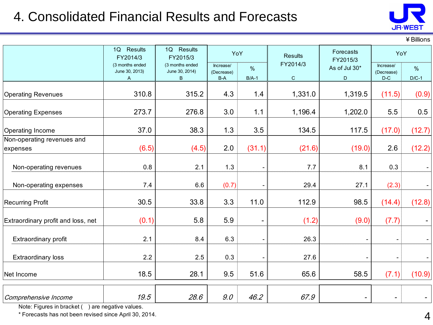## 4. Consolidated Financial Results and Forecasts



¥Billions

|                                        | 1Q Results<br>FY2014/3                 | 1Q Results<br>FY2015/3                 | YoY                              |              | <b>Results</b>          | Forecasts          | YoY<br>FY2015/3                  |                 |
|----------------------------------------|----------------------------------------|----------------------------------------|----------------------------------|--------------|-------------------------|--------------------|----------------------------------|-----------------|
|                                        | (3 months ended<br>June 30, 2013)<br>A | (3 months ended<br>June 30, 2014)<br>B | Increase/<br>(Decrease)<br>$B-A$ | %<br>$B/A-1$ | FY2014/3<br>$\mathbf C$ | As of Jul 30*<br>D | Increase/<br>(Decrease)<br>$D-C$ | $\%$<br>$D/C-1$ |
| <b>Operating Revenues</b>              | 310.8                                  | 315.2                                  | 4.3                              | 1.4          | 1,331.0                 | 1,319.5            | (11.5)                           | (0.9)           |
| <b>Operating Expenses</b>              | 273.7                                  | 276.8                                  | 3.0                              | 1.1          | 1,196.4                 | 1,202.0            | 5.5                              | 0.5             |
| Operating Income                       | 37.0                                   | 38.3                                   | 1.3                              | 3.5          | 134.5                   | 117.5              | (17.0)                           | (12.7)          |
| Non-operating revenues and<br>expenses | (6.5)                                  | (4.5)                                  | 2.0                              | (31.1)       | (21.6)                  | (19.0)             | 2.6                              | (12.2)          |
| Non-operating revenues                 | 0.8                                    | 2.1                                    | 1.3                              |              | 7.7                     | 8.1                | 0.3                              |                 |
| Non-operating expenses                 | 7.4                                    | 6.6                                    | (0.7)                            |              | 29.4                    | 27.1               | (2.3)                            |                 |
| <b>Recurring Profit</b>                | 30.5                                   | 33.8                                   | 3.3                              | 11.0         | 112.9                   | 98.5               | (14.4)                           | (12.8)          |
| Extraordinary profit and loss, net     | (0.1)                                  | 5.8                                    | 5.9                              |              | (1.2)                   | (9.0)              | (7.7)                            |                 |
| <b>Extraordinary profit</b>            | 2.1                                    | 8.4                                    | 6.3                              |              | 26.3                    |                    |                                  |                 |
| <b>Extraordinary loss</b>              | 2.2                                    | 2.5                                    | 0.3                              |              | 27.6                    |                    | $\overline{\phantom{a}}$         |                 |
| Net Income                             | 18.5                                   | 28.1                                   | 9.5                              | 51.6         | 65.6                    | 58.5               | (7.1)                            | (10.9)          |
| Comprehensive Income                   | 19.5                                   | 28.6                                   | 9.0                              | 46.2         | 67.9                    |                    | $\overline{\phantom{a}}$         |                 |

Note: Figures in bracket () are negative values.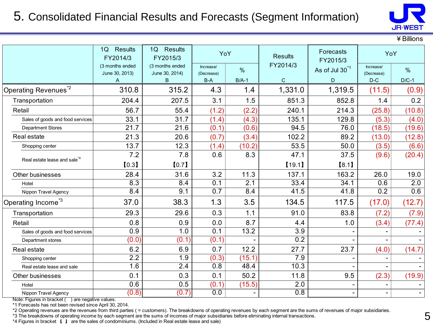#### 5. Consolidated Financial Results and Forecasts (Segment Information)



¥Billions

|                                          | <b>Results</b><br>1Q<br>FY2014/3  | <b>Results</b><br>1Q<br>FY2015/3  | YoY                     |                  | <b>Results</b>   | Forecasts<br>FY2015/3      | YoY                          |         |
|------------------------------------------|-----------------------------------|-----------------------------------|-------------------------|------------------|------------------|----------------------------|------------------------------|---------|
|                                          | (3 months ended<br>June 30, 2013) | (3 months ended<br>June 30, 2014) | Increase/<br>(Decrease) | $\%$             | FY2014/3         | As of Jul 30 <sup>*1</sup> | Increase/<br>(Decrease)      | $\%$    |
|                                          | A                                 | B                                 | $B-A$                   | $B/A-1$          | $\mathbf C$      | D                          | $D-C$                        | $D/C-1$ |
| Operating Revenues <sup>*2</sup>         | 310.8                             | 315.2                             | 4.3                     | 1.4              | 1,331.0          | 1,319.5                    | (11.5)                       | (0.9)   |
| Transportation                           | 204.4                             | 207.5                             | 3.1                     | 1.5              | 851.3            | 852.8                      | 1.4                          | 0.2     |
| Retail                                   | 56.7                              | 55.4                              | (1.2)                   | (2.2)            | 240.1            | 214.3                      | (25.8)                       | (10.8)  |
| Sales of goods and food services         | 33.1                              | 31.7                              | (1.4)                   | (4.3)            | 135.1            | 129.8                      | (5.3)                        | (4.0)   |
| <b>Department Stores</b>                 | 21.7                              | 21.6                              | (0.1)                   | (0.6)            | 94.5             | 76.0                       | (18.5)                       | (19.6)  |
| Real estate                              | 21.3                              | 20.6                              | (0.7)                   | (3.4)            | 102.2            | 89.2                       | (13.0)                       | (12.8)  |
| Shopping center                          | 13.7                              | 12.3                              | (1.4)                   | (10.2)           | 53.5             | 50.0                       | (3.5)                        | (6.6)   |
| Real estate lease and sale <sup>*4</sup> | 7.2                               | 7.8                               | 0.6                     | 8.3              | 47.1             | 37.5                       | (9.6)                        | (20.4)  |
|                                          | [0.3]                             | [0.7]                             |                         |                  | [19.1]           | [8.1]                      |                              |         |
| Other businesses                         | 28.4                              | 31.6                              | 3.2                     | 11.3             | 137.1            | 163.2                      | 26.0                         | 19.0    |
| Hotel                                    | 8.3                               | 8.4                               | 0.1                     | $\overline{2.1}$ | 33.4             | 34.1                       | 0.6                          | 2.0     |
| Nippon Travel Agency                     | 8.4                               | 9.1                               | 0.7                     | 8.4              | 41.5             | 41.8                       | 0.2                          | 0.6     |
| Operating Income <sup>*3</sup>           | 37.0                              | 38.3                              | 1.3                     | 3.5              | 134.5            | 117.5                      | (17.0)                       | (12.7)  |
| Transportation                           | 29.3                              | 29.6                              | 0.3                     | 1.1              | 91.0             | 83.8                       | (7.2)                        | (7.9)   |
| Retail                                   | 0.8                               | 0.9                               | 0.0                     | 8.7              | 4.4              | 1.0                        | (3.4)                        | (77.4)  |
| Sales of goods and food services         | 0.9                               | 1.0                               | $\overline{0.1}$        | 13.2             | $\overline{3.9}$ |                            |                              |         |
| Department stores                        | (0.0)                             | (0.1)                             | (0.1)                   |                  | 0.2              |                            |                              |         |
| Real estate                              | 6.2                               | 6.9                               | 0.7                     | 12.2             | 27.7             | 23.7                       | (4.0)                        | (14.7)  |
| Shopping center                          | 2.2                               | 1.9                               | (0.3)                   | (15.1)           | $\overline{7.9}$ |                            |                              |         |
| Real estate lease and sale               | 1.6                               | 2.4                               | 0.8                     | 48.4             | 10.3             |                            | $\blacksquare$               |         |
| Other businesses                         | 0.1                               | 0.3                               | 0.1                     | 50.2             | 11.8             | 9.5                        | (2.3)                        | (19.9)  |
| Hotel                                    | 0.6                               | 0.5                               | (0.1)                   | (15.5)           | $\overline{2.0}$ |                            |                              |         |
| Nippon Travel Agency                     | (0.8)                             | (0.7)                             | 0.0                     |                  | 0.8              |                            | $\qquad \qquad \blacksquare$ |         |

Note: Figures in bracket () are negative values.

\*1 Forecasts has not been revised since April 30, 2014.

\*2 Operating revenues are the revenues from third parties ( = customers). The breakdowns of operating revenues by each segment are the sums of revenues of major subsidiaries.

\*3 The breakdowns of operating income by each segment are the sums of incomes of major subsidiaries before eliminating internal transactions.

\*4 Figures in bracket 【 】 are the sales of condominiums. (Included in Real estate lease and sale)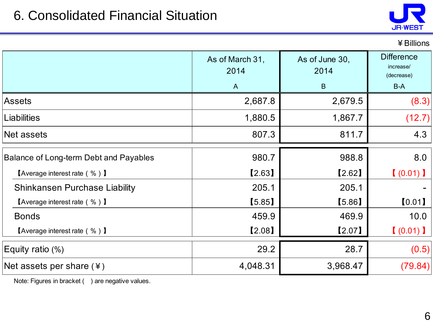

¥Billions

|                                                           | As of March 31,<br>2014<br>$\overline{A}$ | As of June 30,<br>2014<br>B | <b>Difference</b><br>increase/<br>(decrease)<br>$B-A$ |
|-----------------------------------------------------------|-------------------------------------------|-----------------------------|-------------------------------------------------------|
| <b>Assets</b>                                             | 2,687.8                                   | 2,679.5                     | (8.3)                                                 |
| <b>Liabilities</b>                                        | 1,880.5                                   | 1,867.7                     | (12.7)                                                |
| Net assets                                                | 807.3                                     | 811.7                       | 4.3                                                   |
| Balance of Long-term Debt and Payables                    | 980.7                                     | 988.8                       | 8.0                                                   |
| <b>[Average interest rate (%)]</b>                        | [2.63]                                    | [2.62]                      | (0.01)                                                |
| <b>Shinkansen Purchase Liability</b>                      | 205.1                                     | 205.1                       |                                                       |
| <b>[Average interest rate (%)]</b>                        | [5.85]                                    | [5.86]                      | [0.01]                                                |
| <b>Bonds</b>                                              | 459.9                                     | 469.9                       | 10.0                                                  |
| $\blacksquare$ Average interest rate ( % ) $\blacksquare$ | [2.08]                                    | [2.07]                      | (0.01)                                                |
| Equity ratio $(\%)$                                       | 29.2                                      | 28.7                        | (0.5)                                                 |
| Net assets per share $(*)$                                | 4,048.31                                  | 3,968.47                    | (79.84)                                               |

Note: Figures in bracket () are negative values.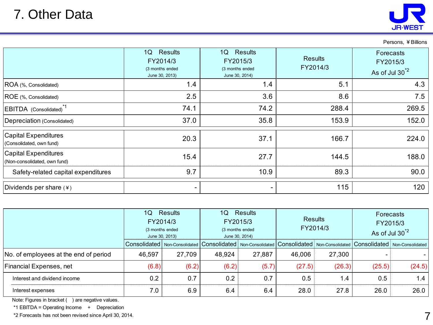

Persons, ¥Billions

|                                                             | Results<br>1Q<br>FY2014/3<br>(3 months ended<br>June 30, 2013) | 1Q<br>Results<br>FY2015/3<br>(3 months ended<br>June 30, 2014) | <b>Results</b><br>FY2014/3 | Forecasts<br>FY2015/3<br>As of Jul 30 <sup>*2</sup> |
|-------------------------------------------------------------|----------------------------------------------------------------|----------------------------------------------------------------|----------------------------|-----------------------------------------------------|
| ROA (%, Consolidated)                                       | 1.4                                                            | 1.4                                                            | 5.1                        | 4.3                                                 |
| ROE (%, Consolidated)                                       | 2.5                                                            | 3.6                                                            | 8.6                        | 7.5                                                 |
| EBITDA (Consolidated) <sup>*1</sup>                         | 74.1                                                           | 74.2                                                           | 288.4                      | 269.5                                               |
| Depreciation (Consolidated)                                 | 37.0                                                           | 35.8                                                           | 153.9                      | 152.0                                               |
| <b>Capital Expenditures</b><br>(Consolidated, own fund)     | 20.3                                                           | 37.1                                                           | 166.7                      | 224.0                                               |
| <b>Capital Expenditures</b><br>(Non-consolidated, own fund) | 15.4                                                           | 27.7                                                           | 144.5                      | 188.0                                               |
| Safety-related capital expenditures                         | 9.7                                                            | 10.9                                                           | 89.3                       | 90.0                                                |
| Dividends per share $(*)$                                   |                                                                | $\overline{\phantom{0}}$                                       | 115                        | 120                                                 |

|                                       | Results<br>1Q  <br>FY2014/3<br>(3 months ended<br>June 30, 2013) |        | <b>Results</b><br>10<br>FY2015/3<br>(3 months ended<br>June 30, 2014) |        | <b>Results</b><br>FY2014/3 |        | <b>Forecasts</b><br>FY2015/3<br>As of Jul 30 <sup>*2</sup>                                                                                                                                                                     |        |
|---------------------------------------|------------------------------------------------------------------|--------|-----------------------------------------------------------------------|--------|----------------------------|--------|--------------------------------------------------------------------------------------------------------------------------------------------------------------------------------------------------------------------------------|--------|
|                                       |                                                                  |        |                                                                       |        |                            |        | Consolidated   Non-Consolidated   Consolidated   Non-Consolidated   Consolidated   Non-Consolidated   Consolidated   Non-Consolidated   Non-Consolidated   Non-Consolidated   Non-Consolidated   Non-Consolidated   Non-Consol |        |
| No. of employees at the end of period | 46,597                                                           | 27,709 | 48,924                                                                | 27,887 | 46,006                     | 27,300 | -                                                                                                                                                                                                                              |        |
| Financial Expenses, net               | (6.8)                                                            | (6.2)  | (6.2)                                                                 | (5.7)  | (27.5)                     | (26.3) | (25.5)                                                                                                                                                                                                                         | (24.5) |
| Interest and dividend income          | 0.2                                                              | 0.7    | 0.2                                                                   | 0.7    | 0.5                        | 1.4    | 0.5                                                                                                                                                                                                                            | 1.4    |
| Interest expenses                     | 7.0                                                              | 6.9    | 6.4                                                                   | 6.4    | 28.0                       | 27.8   | 26.0                                                                                                                                                                                                                           | 26.0   |

Note: Figures in bracket () are negative values.

\*1 EBITDA = Operating Income + Depreciation